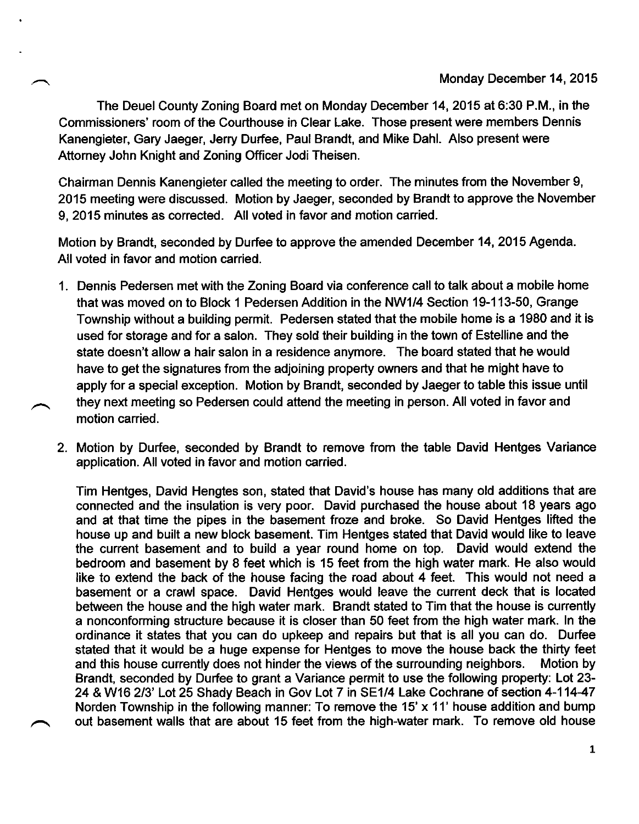The Deuel County Zoning Board met on Monday December 14,2015 at 6:30 P.M., in the Commissioners' room of the Courthouse in Clear Lake. Those present were members Dennis Kanengieter, Gary Jaeger, Jerry Durfee, Paul Brandt, and Mike Dahl. Also present were Attorney John Knight and Zoning Officer Jodi Theisen.

Chairman Dennis Kanengieter called the meeting to order. The minutes from the November 9, 2015 meeting were discussed. Motion by Jaeger, seconded by Brandt to approve the November 9, 2015 minutes as corrected. All voted in favor and motion canied.

Motion by Brandt, seconded by Durfee to approve the amended December 14, 2015 Agenda. All voted in favor and motion carried.

- <sup>1</sup>. Dennis Pedersen met with the Zoning Board via conference call to talk about a mobile home that was moved on to Block 1 Pedersen Addition in the NW1/4 Section 19-113-50, Grange Township without a building permit. Pedersen stated that the mobile home is a 1980 and it is used for storage and for a salon. They sold their building in the town of Estelline and the state doesn't allow a hair salon in a residence anymore. The board stated that he would have to get the signatures from the adjoining property owners and that he might have to apply for a special exception. Motion by Brandt, seconded by Jaeger to table this issue until they next meeting so Pedersen could attend the meeting in person. All voted in favor and motion carried.
- 2. Motion by Durfee, seconded by Brandt to remove from the table David Hentges Variance application. All voted in favor and motion carried.

Tim Hentges, David Hengtes son, stated that David's house has many old additions that are connected and the insulation is very poor. David purchased the house about 18 years ago and at that time the pipes in the basement froze and broke. So David Hentges lifted the house up and built a new block basement. Tim Hentges stated that David would like to leave the current basement and to build a year round home on top. David would extend the bedroom and basement by 8 feet which is 15 feet from the high water mark. He also would like to extend the back of the house facing the road about 4 feet. This would not need a basement or a crawl space. David Hentges would leave the current deck that is located between the house and the high water mark. Brandt stated to Tim that the house is cunently a nonconforming structure because it is closer than 50 feet from the high water mark. In the ordinance it states that you can do upkeep and repairs but that is all you can do. Durfee stated that it would be a huge expense for Hentges to move the house back the thirty feet and this house currently does not hinder the views of the surrounding neighbors. Motion by and this house currently does not hinder the views of the surrounding neighbors. Brandt, seconded by Durfee to grant a Variance permit to use the following property: Lot 23- 24 & W16 2/3' Lot 25 Shady Beach in Gov Lot 7 in SE1/4 Lake Cochrane of section 4-114-47 Norden Township in the following manner: To remove the 15' x 11' house addition and bump out basement walls that are about 15 feet from the high-water mark. To remove old house